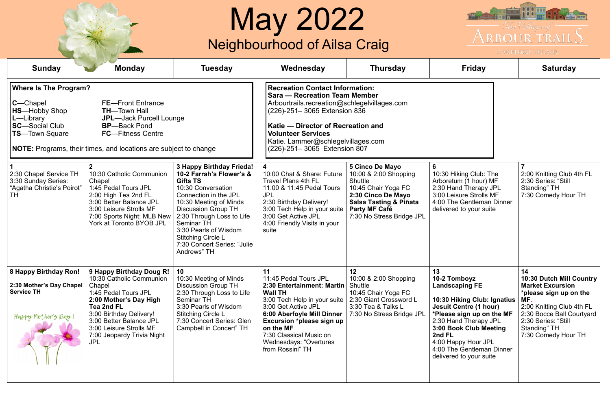|                                                                                                                                                                                                                                  |                                                                                                                                                                                                                                                                                                                                                                                                                    |                                                                                                                                                                                                                                                                                                                               | <b>May 2022</b><br>Neighbourhood of Ailsa Craig                                                                                                                                                                                                                                                                                                                                                                                                                                                                                     |                                                                                                                                                                                                   | <b>The Light of State</b><br>The Uillage of –<br>ARBOUR TRAILS<br>A SCHLEGEL VILLAGE                                                                                                                                                                                                 |                                                                                                                                                                                                                           |
|----------------------------------------------------------------------------------------------------------------------------------------------------------------------------------------------------------------------------------|--------------------------------------------------------------------------------------------------------------------------------------------------------------------------------------------------------------------------------------------------------------------------------------------------------------------------------------------------------------------------------------------------------------------|-------------------------------------------------------------------------------------------------------------------------------------------------------------------------------------------------------------------------------------------------------------------------------------------------------------------------------|-------------------------------------------------------------------------------------------------------------------------------------------------------------------------------------------------------------------------------------------------------------------------------------------------------------------------------------------------------------------------------------------------------------------------------------------------------------------------------------------------------------------------------------|---------------------------------------------------------------------------------------------------------------------------------------------------------------------------------------------------|--------------------------------------------------------------------------------------------------------------------------------------------------------------------------------------------------------------------------------------------------------------------------------------|---------------------------------------------------------------------------------------------------------------------------------------------------------------------------------------------------------------------------|
| <b>Sunday</b>                                                                                                                                                                                                                    | <b>Monday</b>                                                                                                                                                                                                                                                                                                                                                                                                      | <b>Tuesday</b>                                                                                                                                                                                                                                                                                                                | Wednesday                                                                                                                                                                                                                                                                                                                                                                                                                                                                                                                           | <b>Thursday</b>                                                                                                                                                                                   | <b>Friday</b>                                                                                                                                                                                                                                                                        | <b>Saturday</b>                                                                                                                                                                                                           |
| <b>Where Is The Program?</b><br><b>C</b> —Chapel<br><b>HS</b> —Hobby Shop<br>L-Library<br><b>SC</b> —Social Club<br><b>TS</b> —Town Square<br>2:30 Chapel Service TH<br>3:30 Sunday Series:<br>"Agatha Christie's Poirot"<br>TH. | <b>FE</b> —Front Entrance<br><b>TH-Town Hall</b><br><b>JPL-Jack Purcell Lounge</b><br><b>BP-Back Pond</b><br><b>FC</b> —Fitness Centre<br>NOTE: Programs, their times, and locations are subject to change<br>10:30 Catholic Communion<br>Chapel<br>1:45 Pedal Tours JPL<br>2:00 High Tea 2nd FL<br>3:00 Better Balance JPL<br>3:00 Leisure Strolls MF<br>7:00 Sports Night: MLB New  <br>York at Toronto BYOB JPL | 3 Happy Birthday Frieda!<br>10-2 Farrah's Flower's &<br><b>Gifts TS</b><br>10:30 Conversation<br>Connection in the JPL<br>10:30 Meeting of Minds<br><b>Discussion Group TH</b><br>2:30 Through Loss to Life<br>Seminar TH<br>3:30 Pearls of Wisdom<br><b>Stitching Circle L</b><br>7:30 Concert Series: "Julie<br>Andrews" TH | <b>Recreation Contact Information:</b><br><b>Sara — Recreation Team Member</b><br>Arbourtrails.recreation@schlegelvillages.com<br>(226)-251– 3065 Extension 836<br>Katie – Director of Recreation and<br><b>Volunteer Services</b><br>Katie. Lammer@schlegelvillages.com<br>(226)-251–3065 Extension 807<br>10:00 Chat & Share: Future<br>Travel Plans 4th FL<br>11:00 & 11:45 Pedal Tours<br><b>JPL</b><br>2:30 Birthday Delivery!<br>3:00 Tech Help in your suite<br>3:00 Get Active JPL<br>4:00 Friendly Visits in your<br>suite | <b>5 Cinco De Mayo</b><br>10:00 & 2:00 Shopping<br>Shuttle<br>10:45 Chair Yoga FC<br>2:30 Cinco De Mayo<br><b>Salsa Tasting &amp; Piñata</b><br><b>Party MF Café</b><br>7:30 No Stress Bridge JPL | 6<br>10:30 Hiking Club: The<br>Arboretum (1 hour) MF<br>2:30 Hand Therapy JPL<br>3:00 Leisure Strolls MF<br>4:00 The Gentleman Dinner<br>delivered to your suite                                                                                                                     | 2:00 Knitting Club 4th FL<br>2:30 Series: "Still<br>Standing" TH<br>7:30 Comedy Hour TH                                                                                                                                   |
| 8 Happy Birthday Ron!<br>2:30 Mother's Day Chapel<br><b>Service TH</b><br>Hoppy Mother's Doy!                                                                                                                                    | 9 Happy Birthday Doug R!<br>10:30 Catholic Communion<br>Chapel<br>1:45 Pedal Tours JPL<br>2:00 Mother's Day High<br><b>Tea 2nd FL</b><br>3:00 Birthday Delivery!<br>3:00 Better Balance JPL<br>3:00 Leisure Strolls MF<br>7:00 Jeopardy Trivia Night<br><b>JPL</b>                                                                                                                                                 | 10<br>10:30 Meeting of Minds<br><b>Discussion Group TH</b><br>2:30 Through Loss to Life<br><b>Seminar TH</b><br>3:30 Pearls of Wisdom<br><b>Stitching Circle L</b><br>7:30 Concert Series: Glen<br>Campbell in Concert" TH                                                                                                    | 11<br>11:45 Pedal Tours JPL<br>2:30 Entertainment: Martin<br><b>Wall TH</b><br>3:00 Tech Help in your suite<br>3:00 Get Active JPL<br>6:00 Aberfoyle Mill Dinner<br>Excursion *please sign up<br>on the MF<br>7:30 Classical Music on<br>Wednesdays: "Overtures<br>from Rossini" TH                                                                                                                                                                                                                                                 | 12<br>10:00 & 2:00 Shopping<br>Shuttle<br>10:45 Chair Yoga FC<br>2:30 Giant Crossword L<br>3:30 Tea & Talks L<br>7:30 No Stress Bridge JPL                                                        | 13<br>10-2 Tomboyz<br><b>Landscaping FE</b><br>10:30 Hiking Club: Ignatius<br><b>Jesuit Centre (1 hour)</b><br>*Please sign up on the MF<br>2:30 Hand Therapy JPL<br>3:00 Book Club Meeting<br>2nd FL<br>4:00 Happy Hour JPL<br>4:00 The Gentleman Dinner<br>delivered to your suite | 14<br><b>10:30 Dutch Mill Country</b><br><b>Market Excursion</b><br>*please sign up on the<br>MF.<br>2:00 Knitting Club 4th FL<br>2:30 Bocce Ball Courtyard<br>2:30 Series: "Still<br>Standing" TH<br>7:30 Comedy Hour TH |